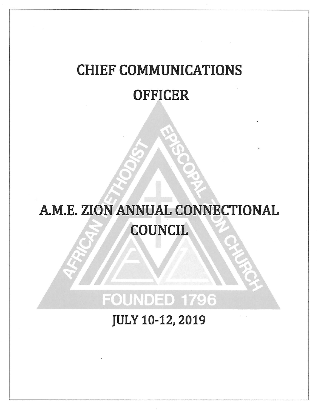# **CHIEF COMMUNICATIONS OFFICER**

# A.M.E. ZION ANNUAL CONNECTIONAL **COUNCIL**

# **FOUNDED 1796**

**JULY 10-12, 2019**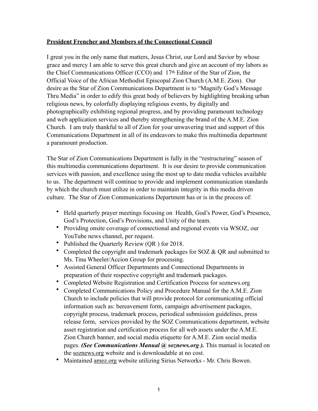## **President Frencher and Members of the Connectional Council**

I great you in the only name that matters, Jesus Christ, our Lord and Savior by whose grace and mercy I am able to serve this great church and give an account of my labors as the Chief Communications Officer (CCO) and 17th Editor of the Star of Zion, the Official Voice of the African Methodist Episcopal Zion Church (A.M.E. Zion). Our desire as the Star of Zion Communications Department is to "Magnify God's Message Thru Media" in order to edify this great body of believers by highlighting breaking urban religious news, by colorfully displaying religious events, by digitally and photographically exhibiting regional progress, and by providing paramount technology and web application services and thereby strengthening the brand of the A.M.E. Zion Church. I am truly thankful to all of Zion for your unwavering trust and support of this Communications Department in all of its endeavors to make this multimedia department a paramount production.

The Star of Zion Communications Department is fully in the "restructuring" season of this multimedia communications department. It is our desire to provide communication services with passion, and excellence using the most up to date media vehicles available to us. The department will continue to provide and implement communication standards by which the church must utilize in order to maintain integrity in this media driven culture. The Star of Zion Communications Department has or is in the process of:

- Held quarterly prayer meetings focusing on Health, God's Power, God's Presence, God's Protection, God's Provisions, and Unity of the team.
- Providing onsite coverage of connectional and regional events via WSOZ, our YouTube news channel, per request.
- Published the Quarterly Review (QR ) for 2018.
- Completed the copyright and trademark packages for SOZ & QR and submitted to Ms. Tina Wheeler/Accion Group for processing.
- Assisted General Officer Departments and Connectional Departments in preparation of their respective copyright and trademark packages.
- Completed Website Registration and Certification Process for soznews.org
- Completed Communications Policy and Procedure Manual for the A.M.E. Zion Church to include policies that will provide protocol for communicating official information such as: bereavement form, campaign advertisement packages, copyright process, trademark process, periodical submission guidelines, press release form, services provided by the SOZ Communications department, website asset registration and certification process for all web assets under the A.M.E. Zion Church banner, and social media etiquette for A.M.E. Zion social media pages. *(See Communications Manual @ soznews.org*). This manual is located on the [soznews.org](http://soznews.org) website and is downloadable at no cost.
- Maintained [amez.org](http://amez.org) website utilizing Sirius Networks Mr. Chris Bowen.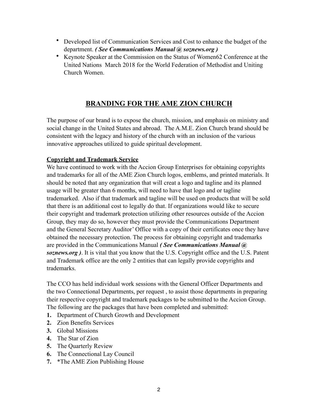- Developed list of Communication Services and Cost to enhance the budget of the department. *( See Communications Manual @ soznews.org )*
- Keynote Speaker at the Commission on the Status of Women62 Conference at the United Nations March 2018 for the World Federation of Methodist and Uniting Church Women.

## **BRANDING FOR THE AME ZION CHURCH**

The purpose of our brand is to expose the church, mission, and emphasis on ministry and social change in the United States and abroad. The A.M.E. Zion Church brand should be consistent with the legacy and history of the church with an inclusion of the various innovative approaches utilized to guide spiritual development.

## **Copyright and Trademark Service**

We have continued to work with the Accion Group Enterprises for obtaining copyrights and trademarks for all of the AME Zion Church logos, emblems, and printed materials. It should be noted that any organization that will creat a logo and tagline and its planned usage will be greater than 6 months, will need to have that logo and or tagline trademarked. Also if that trademark and tagline will be used on products that will be sold that there is an additional cost to legally do that. If organizations would like to secure their copyright and trademark protection utilizing other resources outside of the Accion Group, they may do so, however they must provide the Communications Department and the General Secretary Auditor' Office with a copy of their certificates once they have obtained the necessary protection. The process for obtaining copyright and trademarks are provided in the Communications Manual *( See Communications Manual @ soznews.org )*. It is vital that you know that the U.S. Copyright office and the U.S. Patent and Trademark office are the only 2 entities that can legally provide copyrights and trademarks.

The CCO has held individual work sessions with the General Officer Departments and the two Connectional Departments, per request , to assist those departments in preparing their respective copyright and trademark packages to be submitted to the Accion Group. The following are the packages that have been completed and submitted:

- **1.** Department of Church Growth and Development
- **2.** Zion Benefits Services
- **3.** Global Missions
- **4.** The Star of Zion
- **5.** The Quarterly Review
- **6.** The Connectional Lay Council
- **7.** \*The AME Zion Publishing House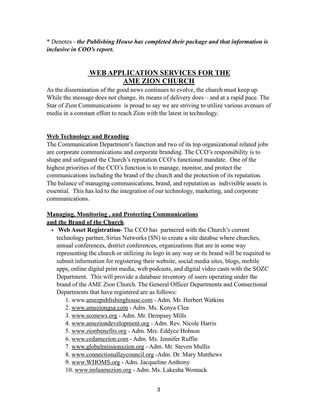\* Denotes - *the Publishing House has completed their package and that information is inclusive in COO's report.*

## **WEB APPLICATION SERVICES FOR THE AME ZION CHURCH**

As the dissemination of the good news continues to evolve, the church must keep up. While the message does not change, its means of delivery does – and at a rapid pace. The Star of Zion Communications is proud to say we are striving to utilize various avenues of media in a constant effort to reach Zion with the latest in technology.

#### **Web Technology and Branding**

The Communication Department's function and two of its top organizational related jobs are corporate communications and corporate branding. The CCO's responsibility is to shape and safeguard the Church's reputation CCO's functional mandate. One of the highest priorities of the CCO's function is to manage, monitor, and protect the communications including the brand of the church and the protection of its reputation. The balance of managing communications, brand, and reputation as indivisible assets is essential. This has led to the integration of our technology, marketing, and corporate communications.

## **Managing, Monitoring , and Protecting Communications and the Brand of the Church**.

- **Web Asset Registration-** The CCO has partnered with the Church's current technology partner, Sirius Networks (SN) to create a site databse where churches, annual conferences, district conferences, organizations that are in some way representing the church or utilizing its logo in any way or its brand will be required to submit information for registering their website, social media sites, blogs, mobile apps, online digital print media, web podcasts, and digital video casts with the SOZC Department. This will provide a database inventory of users operating under the brand of the AME Zion Church. The General Officer Departments and Connectional Departments that have registered are as follows:
	- 1. www[.amezpublishinghouse.com](http://amezpublishinghouse.com)  Adm. Mr. Herbert Watkins
	- 2. [www.ameziongsa.com](http://www.ameziongsa.com)  Adm. Ms. Kenya Clea
	- 3. [www.soznews.org](http://www.soznews.org)  Adm. Mr. Dempsey Mills
	- 4. [www.ameziondevelopment.org](http://www.ameziondevelopment.org)  Adm. Rev. Nicole Harris
	- 5. [www.zionbenefits.org](http://www.zionbenefits.org)  Adm. Mrs. Eddyce Hobson
	- 6. [www.cedamezion.com](http://www.cedamezion.com) Adm. Ms. Jennifer Ruffin
	- 7. [www.globalmissionszion.org](http://www.globalmissionszion.org)  Adm. Mr. Steven Mullis
	- 8. [www.connectionallaycouncil.org](http://www.connectionallaycouncil.org) -Adm. Dr. Mary Matthews
	- 9. [www.WHOMS.org](http://www.WHOMS.org) Adm. Jacqueline Anthony
	- 10. [www.imlaamezion.org](http://www.imlaamezion.org)  Adm. Ms. Lakesha Womack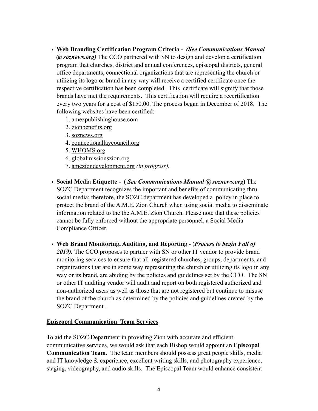- **Web Branding Certification Program Criteria -** *(See Communications Manual @ soznews.org)* The CCO partnered with SN to design and develop a certification program that churches, district and annual conferences, episcopal districts, general office departments, connectional organizations that are representing the church or utilizing its logo or brand in any way will receive a certified certificate once the respective certification has been completed. This certificate will signify that those brands have met the requirements. This certification will require a recertification every two years for a cost of \$150.00. The process began in December of 2018. The following websites have been certified:
	- 1. [amezpublishinghouse.com](http://amezpublishinghouse.com)
	- 2. [zionbenefits.org](http://zionbenefits.org)
	- 3. [soznews.org](http://soznews.org)
	- 4. [connectionallaycouncil.org](http://connectionallaycouncil.org)
	- 5. [WHOMS.org](http://WHOMS.org)
	- 6. [globalmissionszion.org](http://globalmissionszion.org)
	- 7. [ameziondevelopment.org](http://ameziondevelopment.org) *(in progress).*
- **Social Media Etiquette (** *See Communications Manual @ soznews.org***)** The SOZC Department recognizes the important and benefits of communicating thru social media; therefore, the SOZC department has developed a policy in place to protect the brand of the A.M.E. Zion Church when using social media to disseminate information related to the the A.M.E. Zion Church. Please note that these policies cannot be fully enforced without the appropriate personnel, a Social Media Compliance Officer.
- **Web Brand Monitoring, Auditing, and Reporting**  (*Process to begin Fall of 2019).* The CCO proposes to partner with SN or other IT vendor to provide brand monitoring services to ensure that all registered churches, groups, departments, and organizations that are in some way representing the church or utilizing its logo in any way or its brand, are abiding by the policies and guidelines set by the CCO. The SN or other IT auditing vendor will audit and report on both registered authorized and non-authorized users as well as those that are not registered but continue to misuse the brand of the church as determined by the policies and guidelines created by the SOZC Department .

## **Episcopal Communication Team Services**

To aid the SOZC Department in providing Zion with accurate and efficient communicative services, we would ask that each Bishop would appoint an **Episcopal Communication Team**. The team members should possess great people skills, media and IT knowledge & experience, excellent writing skills, and photography experience, staging, videography, and audio skills. The Episcopal Team would enhance consistent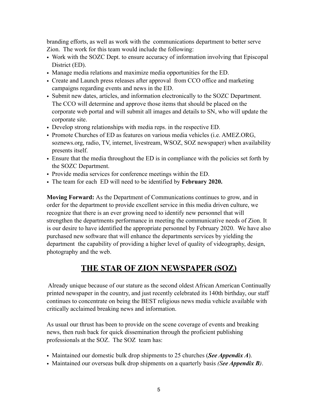branding efforts, as well as work with the communications department to better serve Zion. The work for this team would include the following:

- Work with the SOZC Dept. to ensure accuracy of information involving that Episcopal District (ED).
- Manage media relations and maximize media opportunities for the ED.
- Create and Launch press releases after approval from CCO office and marketing campaigns regarding events and news in the ED.
- Submit new dates, articles, and information electronically to the SOZC Department. The CCO will determine and approve those items that should be placed on the corporate web portal and will submit all images and details to SN, who will update the corporate site.
- Develop strong relationships with media reps. in the respective ED.
- Promote Churches of ED as features on various media vehicles (i.e. AMEZ.ORG, soznews.org, radio, TV, internet, livestream, WSOZ, SOZ newspaper) when availability presents itself.
- Ensure that the media throughout the ED is in compliance with the policies set forth by the SOZC Department.
- Provide media services for conference meetings within the ED.
- The team for each ED will need to be identified by **February 2020.**

**Moving Forward:** As the Department of Communications continues to grow, and in order for the department to provide excellent service in this media driven culture, we recognize that there is an ever growing need to identify new personnel that will strengthen the departments performance in meeting the communicative needs of Zion. It is our desire to have identified the appropriate personnel by February 2020. We have also purchased new software that will enhance the departments services by yielding the department the capability of providing a higher level of quality of videography, design, photography and the web.

## **THE STAR OF ZION NEWSPAPER (SOZ)**

 Already unique because of our stature as the second oldest African American Continually printed newspaper in the country, and just recently celebrated its 140th birthday, our staff continues to concentrate on being the BEST religious news media vehicle available with critically acclaimed breaking news and information.

As usual our thrust has been to provide on the scene coverage of events and breaking news, then rush back for quick dissemination through the proficient publishing professionals at the SOZ. The SOZ team has:

- Maintained our domestic bulk drop shipments to 25 churches (*See Appendix A*).
- Maintained our overseas bulk drop shipments on a quarterly basis *(See Appendix B)*.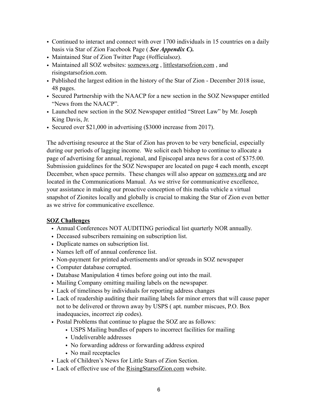- Continued to interact and connect with over 1700 individuals in 15 countries on a daily basis via Star of Zion Facebook Page ( *See Appendix C).*
- Maintained Star of Zion Twitter Page (#officialsoz).
- Maintained all SOZ websites: [soznews.org](http://soznews.org), littlestarsofzion.com, and risingstarsofzion.com.
- Published the largest edition in the history of the Star of Zion December 2018 issue, 48 pages.
- Secured Partnership with the NAACP for a new section in the SOZ Newspaper entitled "News from the NAACP".
- Launched new section in the SOZ Newspaper entitled "Street Law" by Mr. Joseph King Davis, Jr.
- Secured over \$21,000 in advertising (\$3000 increase from 2017).

The advertising resource at the Star of Zion has proven to be very beneficial, especially during our periods of lagging income. We solicit each bishop to continue to allocate a page of advertising for annual, regional, and Episcopal area news for a cost of \$375.00. Submission guidelines for the SOZ Newspaper are located on page 4 each month, except December, when space permits. These changes will also appear on [soznews.org](http://soznews.org) and are located in the Communications Manual. As we strive for communicative excellence, your assistance in making our proactive conception of this media vehicle a virtual snapshot of Zionites locally and globally is crucial to making the Star of Zion even better as we strive for communicative excellence.

## **SOZ Challenges**

- Annual Conferences NOT AUDITING periodical list quarterly NOR annually.
- Deceased subscribers remaining on subscription list.
- Duplicate names on subscription list.
- Names left off of annual conference list.
- Non-payment for printed advertisements and/or spreads in SOZ newspaper
- Computer database corrupted.
- Database Manipulation 4 times before going out into the mail.
- Mailing Company omitting mailing labels on the newspaper.
- Lack of timeliness by individuals for reporting address changes
- Lack of readership auditing their mailing labels for minor errors that will cause paper not to be delivered or thrown away by USPS ( apt. number miscues, P.O. Box inadequacies, incorrect zip codes).
- Postal Problems that continue to plague the SOZ are as follows:
	- USPS Mailing bundles of papers to incorrect facilities for mailing
	- Undeliverable addresses
	- No forwarding address or forwarding address expired
	- No mail receptacles
- Lack of Children's News for Little Stars of Zion Section.
- Lack of effective use of the [RisingStarsofZion.com](http://RisingStarsofZion.com) website.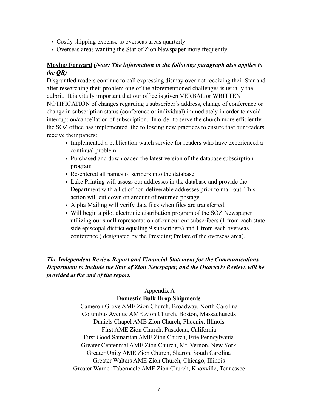- Costly shipping expense to overseas areas quarterly
- Overseas areas wanting the Star of Zion Newspaper more frequently.

## **Moving Forward (***Note: The information in the following paragraph also applies to the QR)*

Disgruntled readers continue to call expressing dismay over not receiving their Star and after researching their problem one of the aforementioned challenges is usually the culprit. It is vitally important that our office is given VERBAL or WRITTEN NOTIFICATION of changes regarding a subscriber's address, change of conference or change in subscription status (conference or individual) immediately in order to avoid interruption/cancellation of subscription. In order to serve the church more efficiently, the SOZ office has implemented the following new practices to ensure that our readers receive their papers:

- Implemented a publication watch service for readers who have experienced a continual problem.
- Purchased and downloaded the latest version of the database subscirption program
- Re-entered all names of scribers into the database
- Lake Printing will assess our addresses in the database and provide the Department with a list of non-deliverable addresses prior to mail out. This action will cut down on amount of returned postage.
- Alpha Mailing will verify data files when files are transferred.
- Will begin a pilot electronic distribution program of the SOZ Newspaper utilizing our small representation of our current subscribers (1 from each state side episcopal district equaling 9 subscribers) and 1 from each overseas conference ( designated by the Presiding Prelate of the overseas area).

## *The Independent Review Report and Financial Statement for the Communications Department to include the Star of Zion Newspaper, and the Quarterly Review, will be provided at the end of the report.*

## Appendix A

## **Domestic Bulk Drop Shipments**

Cameron Grove AME Zion Church, Broadway, North Carolina Columbus Avenue AME Zion Church, Boston, Massachusetts Daniels Chapel AME Zion Church, Phoenix, Illinois First AME Zion Church, Pasadena, California First Good Samaritan AME Zion Church, Erie Pennsylvania Greater Centennial AME Zion Church, Mt. Vernon, New York Greater Unity AME Zion Church, Sharon, South Carolina Greater Walters AME Zion Church, Chicago, Illinois Greater Warner Tabernacle AME Zion Church, Knoxville, Tennessee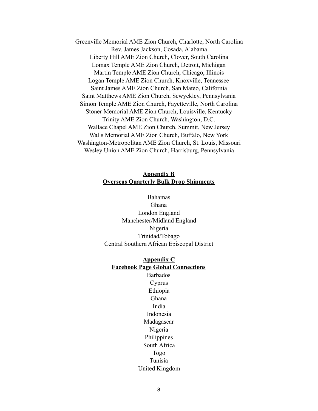Greenville Memorial AME Zion Church, Charlotte, North Carolina Rev. James Jackson, Cosada, Alabama Liberty Hill AME Zion Church, Clover, South Carolina Lomax Temple AME Zion Church, Detroit, Michigan Martin Temple AME Zion Church, Chicago, Illinois Logan Temple AME Zion Church, Knoxville, Tennessee Saint James AME Zion Church, San Mateo, California Saint Matthews AME Zion Church, Sewyckley, Pennsylvania Simon Temple AME Zion Church, Fayetteville, North Carolina Stoner Memorial AME Zion Church, Louisville, Kentucky Trinity AME Zion Church, Washington, D.C. Wallace Chapel AME Zion Church, Summit, New Jersey Walls Memorial AME Zion Church, Buffalo, New York Washington-Metropolitan AME Zion Church, St. Louis, Missouri Wesley Union AME Zion Church, Harrisburg, Pennsylvania

## **Appendix B Overseas Quarterly Bulk Drop Shipments**

Bahamas Ghana London England Manchester/Midland England Nigeria Trinidad/Tobago Central Southern African Episcopal District

## **Appendix C Facebook Page Global Connections**

Barbados Cyprus Ethiopia Ghana India Indonesia Madagascar Nigeria Philippines South Africa Togo Tunisia United Kingdom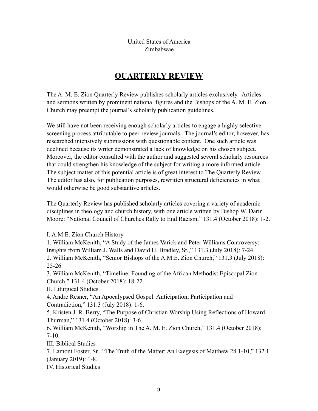United States of America Zimbabwae

# **QUARTERLY REVIEW**

The A. M. E. Zion Quarterly Review publishes scholarly articles exclusively. Articles and sermons written by prominent national figures and the Bishops of the A. M. E. Zion Church may preempt the journal's scholarly publication guidelines.

We still have not been receiving enough scholarly articles to engage a highly selective screening process attributable to peer-review journals. The journal's editor, however, has researched intensively submissions with questionable content. One such article was declined because its writer demonstrated a lack of knowledge on his chosen subject. Moreover, the editor consulted with the author and suggested several scholarly resources that could strengthen his knowledge of the subject for writing a more informed article. The subject matter of this potential article is of great interest to The Quarterly Review. The editor has also, for publication purposes, rewritten structural deficiencies in what would otherwise be good substantive articles.

The Quarterly Review has published scholarly articles covering a variety of academic disciplines in theology and church history, with one article written by Bishop W. Darin Moore: "National Council of Churches Rally to End Racism," 131.4 (October 2018): 1-2.

I. A.M.E. Zion Church History

1. William McKenith, "A Study of the James Varick and Peter Williams Controversy: Insights from William J. Walls and David H. Bradley, Sr.," 131.3 (July 2018): 7-24. 2. William McKenith, "Senior Bishops of the A.M.E. Zion Church," 131.3 (July 2018): 25-26.

3. William McKenith, "Timeline: Founding of the African Methodist Episcopal Zion Church," 131.4 (October 2018): 18-22.

II. Liturgical Studies

4. Andre Resner, "An Apocalypsed Gospel: Anticipation, Participation and Contradiction," 131.3 (July 2018): 1-6.

5. Kristen J. R. Berry, "The Purpose of Christian Worship Using Reflections of Howard Thurman," 131.4 (October 2018): 3-6.

6. William McKenith, "Worship in The A. M. E. Zion Church," 131.4 (October 2018): 7-10.

III. Biblical Studies

7. Lamont Foster, Sr., "The Truth of the Matter: An Exegesis of Matthew 28.1-10," 132.1 (January 2019): 1-8.

IV. Historical Studies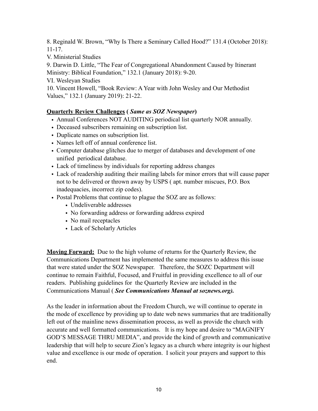8. Reginald W. Brown, "Why Is There a Seminary Called Hood?" 131.4 (October 2018): 11-17.

V. Ministerial Studies

9. Darwin D. Little, "The Fear of Congregational Abandonment Caused by Itinerant Ministry: Biblical Foundation," 132.1 (January 2018): 9-20.

VI. Wesleyan Studies

10. Vincent Howell, "Book Review: A Year with John Wesley and Our Methodist Values," 132.1 (January 2019): 21-22.

## **Quarterly Review Challenges (** *Same as SOZ Newspaper***)**

- Annual Conferences NOT AUDITING periodical list quarterly NOR annually.
- Deceased subscribers remaining on subscription list.
- Duplicate names on subscription list.
- Names left off of annual conference list.
- Computer database glitches due to merger of databases and development of one unified periodical database.
- Lack of timeliness by individuals for reporting address changes
- Lack of readership auditing their mailing labels for minor errors that will cause paper not to be delivered or thrown away by USPS ( apt. number miscues, P.O. Box inadequacies, incorrect zip codes).
- Postal Problems that continue to plague the SOZ are as follows:
	- Undeliverable addresses
	- No forwarding address or forwarding address expired
	- No mail receptacles
	- Lack of Scholarly Articles

**Moving Forward:** Due to the high volume of returns for the Quarterly Review, the Communications Department has implemented the same measures to address this issue that were stated under the SOZ Newspaper. Therefore, the SOZC Department will continue to remain Faithful, Focused, and Fruitful in providing excellence to all of our readers. Publishing guidelines for the Quarterly Review are included in the Communications Manual ( *See Communications Manual at soznews.org).* 

As the leader in information about the Freedom Church, we will continue to operate in the mode of excellence by providing up to date web news summaries that are traditionally left out of the mainline news dissemination process, as well as provide the church with accurate and well formatted communications. It is my hope and desire to "MAGNIFY GOD'S MESSAGE THRU MEDIA", and provide the kind of growth and communicative leadership that will help to secure Zion's legacy as a church where integrity is our highest value and excellence is our mode of operation. I solicit your prayers and support to this end.